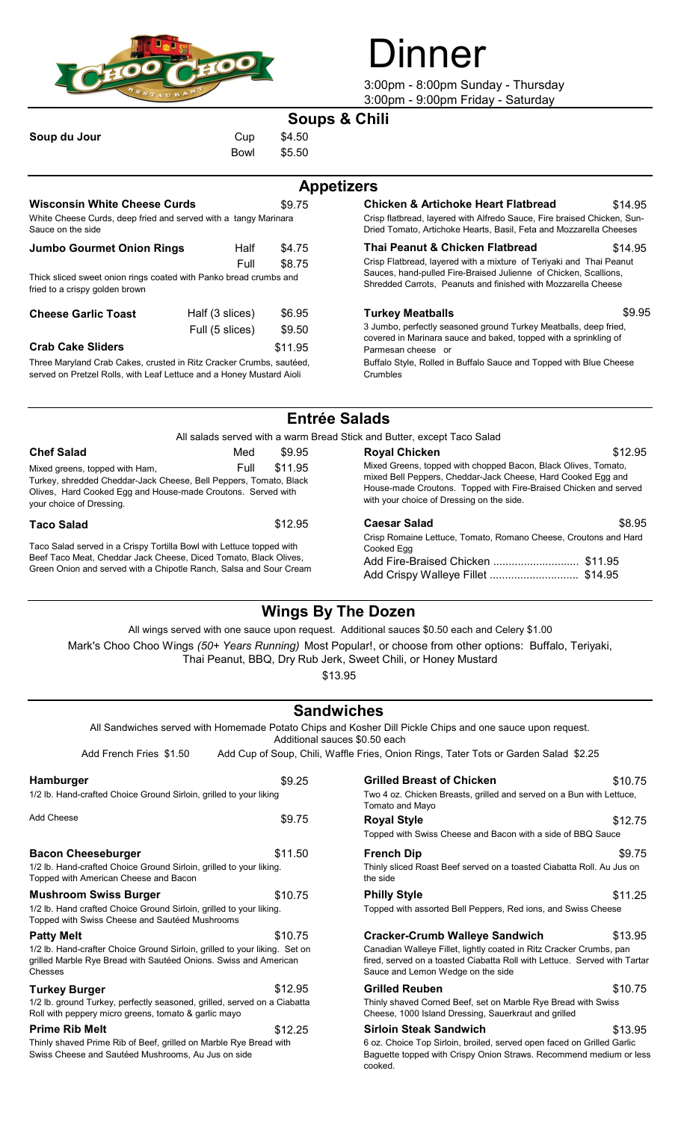

# **nner**

3:00pm - 8:00pm Sunday - Thursday 3:00pm - 9:00pm Friday - Saturday

## **Soups & Chili**

| Soup du Jour |  |  |
|--------------|--|--|
|              |  |  |

Cup \$4.50 Bowl \$5.50

|                                                                                                                             |                 |                                                                                                                                   | <b>Appetizers</b>                                                                                                                                                                               |         |
|-----------------------------------------------------------------------------------------------------------------------------|-----------------|-----------------------------------------------------------------------------------------------------------------------------------|-------------------------------------------------------------------------------------------------------------------------------------------------------------------------------------------------|---------|
| <b>Wisconsin White Cheese Curds</b><br>White Cheese Curds, deep fried and served with a tangy Marinara<br>Sauce on the side |                 | \$9.75                                                                                                                            | <b>Chicken &amp; Artichoke Heart Flatbread</b><br>Crisp flatbread, layered with Alfredo Sauce, Fire braised Chicken, Sun-<br>Dried Tomato, Artichoke Hearts, Basil, Feta and Mozzarella Cheeses | \$14.95 |
| <b>Jumbo Gourmet Onion Rings</b>                                                                                            | Half            | \$4.75                                                                                                                            | Thai Peanut & Chicken Flatbread                                                                                                                                                                 | \$14.95 |
|                                                                                                                             | Full            | \$8.75                                                                                                                            | Crisp Flatbread, layered with a mixture of Teriyaki and Thai Peanut                                                                                                                             |         |
| Thick sliced sweet onion rings coated with Panko bread crumbs and<br>fried to a crispy golden brown                         |                 | Sauces, hand-pulled Fire-Braised Julienne of Chicken, Scallions,<br>Shredded Carrots, Peanuts and finished with Mozzarella Cheese |                                                                                                                                                                                                 |         |
| <b>Cheese Garlic Toast</b>                                                                                                  | Half (3 slices) | \$6.95                                                                                                                            | <b>Turkey Meatballs</b>                                                                                                                                                                         | \$9.95  |
| Full (5 slices)                                                                                                             |                 | \$9.50                                                                                                                            | 3 Jumbo, perfectly seasoned ground Turkey Meatballs, deep fried,<br>acuprative Marinera couse and holized tenned with a enripling of                                                            |         |

\$11.95 Three Maryland Crab Cakes, crusted in Ritz Cracker Crumbs, sautéed, served on Pretzel Rolls, with Leaf Lettuce and a Honey Mustard Aioli **Crab Cake Sliders**

### **Appetizers**

| \$9.75 | <b>Chicken &amp; Artichoke Heart Flatbread</b>                          | \$14.95 |
|--------|-------------------------------------------------------------------------|---------|
| ara    | Crisp flatbread, layered with Alfredo Sauce, Fire braised Chicken, Sun- |         |
|        | Dried Tomato, Artichoke Hearts, Basil, Feta and Mozzarella Cheeses      |         |

3 Jumbo, perfectly seasoned ground Turkey Meatballs, deep fried, covered in Marinara sauce and baked, topped with a sprinkling of Parmesan cheese or

Buffalo Style, Rolled in Buffalo Sauce and Topped with Blue Cheese Crumbles

# **Entrée Salads**

All salads served with a warm Bread Stick and Butter, except Taco Salad

| <b>Chef Salad</b>                                                                                                                                                                                                  | Med | \$9.95                                                                                                                                                                                                                                          | <b>Royal Chicken</b> | \$12.95 |
|--------------------------------------------------------------------------------------------------------------------------------------------------------------------------------------------------------------------|-----|-------------------------------------------------------------------------------------------------------------------------------------------------------------------------------------------------------------------------------------------------|----------------------|---------|
| \$11.95<br>Full<br>Mixed greens, topped with Ham,<br>Turkey, shredded Cheddar-Jack Cheese, Bell Peppers, Tomato, Black<br>Olives, Hard Cooked Egg and House-made Croutons. Served with<br>your choice of Dressing. |     | Mixed Greens, topped with chopped Bacon, Black Olives, Tomato,<br>mixed Bell Peppers, Cheddar-Jack Cheese, Hard Cooked Egg and<br>House-made Croutons. Topped with Fire-Braised Chicken and served<br>with your choice of Dressing on the side. |                      |         |
| <b>Taco Salad</b>                                                                                                                                                                                                  |     | \$12.95                                                                                                                                                                                                                                         | <b>Caesar Salad</b>  | \$8.95  |
| Taco Salad served in a Crispy Tortilla Bowl with Lettuce topped with<br>Beef Taco Meat, Cheddar Jack Cheese, Diced Tomato, Black Olives,<br>Green Onion and served with a Chipotle Ranch, Salsa and Sour Cream     |     | Crisp Romaine Lettuce, Tomato, Romano Cheese, Croutons and Hard<br>Cooked Eaa<br>Add Fire-Braised Chicken  \$11.95                                                                                                                              |                      |         |

# **Wings By The Dozen**

Mark's Choo Choo Wings *(50+ Years Running)* Most Popular!, or choose from other options: Buffalo, Teriyaki, All wings served with one sauce upon request. Additional sauces \$0.50 each and Celery \$1.00

Thai Peanut, BBQ, Dry Rub Jerk, Sweet Chili, or Honey Mustard

\$13.95

# **Sandwiches**

All Sandwiches served with Homemade Potato Chips and Kosher Dill Pickle Chips and one sauce upon request. Additional sauces \$0.50 each

Add French Fries \$1.50 Add Cup of Soup, Chili, Waffle Fries, Onion Rings, Tater Tots or Garden Salad \$2.25

| Hamburger                                                                                                                                                 | \$9.25  | <b>Grilled Breast of Chicken</b>                                                                                                                                                     | \$10.75 |  |
|-----------------------------------------------------------------------------------------------------------------------------------------------------------|---------|--------------------------------------------------------------------------------------------------------------------------------------------------------------------------------------|---------|--|
| 1/2 lb. Hand-crafted Choice Ground Sirloin, grilled to your liking                                                                                        |         | Two 4 oz. Chicken Breasts, grilled and served on a Bun with Lettuce,<br>Tomato and Mayo                                                                                              |         |  |
| Add Cheese                                                                                                                                                | \$9.75  | <b>Royal Style</b>                                                                                                                                                                   | \$12.75 |  |
|                                                                                                                                                           |         | Topped with Swiss Cheese and Bacon with a side of BBQ Sauce                                                                                                                          |         |  |
| <b>Bacon Cheeseburger</b>                                                                                                                                 | \$11.50 | <b>French Dip</b>                                                                                                                                                                    | \$9.75  |  |
| 1/2 lb. Hand-crafted Choice Ground Sirloin, grilled to your liking.<br>Topped with American Cheese and Bacon                                              |         | Thinly sliced Roast Beef served on a toasted Ciabatta Roll. Au Jus on<br>the side                                                                                                    |         |  |
| <b>Mushroom Swiss Burger</b>                                                                                                                              | \$10.75 | <b>Philly Style</b>                                                                                                                                                                  | \$11.25 |  |
| 1/2 lb. Hand crafted Choice Ground Sirloin, grilled to your liking.<br>Topped with Swiss Cheese and Sautéed Mushrooms                                     |         | Topped with assorted Bell Peppers, Red ions, and Swiss Cheese                                                                                                                        |         |  |
| <b>Patty Melt</b>                                                                                                                                         | \$10.75 | <b>Cracker-Crumb Walleye Sandwich</b>                                                                                                                                                | \$13.95 |  |
| 1/2 lb. Hand-crafter Choice Ground Sirloin, grilled to your liking. Set on<br>grilled Marble Rye Bread with Sautéed Onions. Swiss and American<br>Chesses |         | Canadian Walleye Fillet, lightly coated in Ritz Cracker Crumbs, pan<br>fired, served on a toasted Ciabatta Roll with Lettuce. Served with Tarta<br>Sauce and Lemon Wedge on the side |         |  |
| <b>Turkey Burger</b>                                                                                                                                      | \$12.95 | <b>Grilled Reuben</b>                                                                                                                                                                | \$10.75 |  |
| 1/2 lb. ground Turkey, perfectly seasoned, grilled, served on a Ciabatta<br>Roll with peppery micro greens, tomato & garlic mayo                          |         | Thinly shaved Corned Beef, set on Marble Rye Bread with Swiss<br>Cheese, 1000 Island Dressing, Sauerkraut and grilled                                                                |         |  |
| <b>Prime Rib Melt</b>                                                                                                                                     | \$12.25 | <b>Sirloin Steak Sandwich</b>                                                                                                                                                        | \$13.95 |  |
| Thinly shaved Prime Rib of Beef, grilled on Marble Rye Bread with<br>Swiss Cheese and Sautéed Mushrooms. Au Jus on side                                   |         | 6 oz. Choice Top Sirloin, broiled, served open faced on Grilled Garlic<br>Baquette topped with Crispy Onion Straws, Recommend medium or les                                          |         |  |

| \$9.25                         | <b>Grilled Breast of Chicken</b><br>\$10.75                                                                                                                                                                                               |  |
|--------------------------------|-------------------------------------------------------------------------------------------------------------------------------------------------------------------------------------------------------------------------------------------|--|
| g                              | Two 4 oz. Chicken Breasts, grilled and served on a Bun with Lettuce,<br>Tomato and Mayo                                                                                                                                                   |  |
| \$9.75                         | <b>Royal Style</b><br>\$12.75<br>Topped with Swiss Cheese and Bacon with a side of BBQ Sauce                                                                                                                                              |  |
| \$11.50<br>g.                  | <b>French Dip</b><br>\$9.75<br>Thinly sliced Roast Beef served on a toasted Ciabatta Roll. Au Jus on<br>the side                                                                                                                          |  |
| \$10.75<br>g.                  | \$11.25<br><b>Philly Style</b><br>Topped with assorted Bell Peppers, Red ions, and Swiss Cheese                                                                                                                                           |  |
| \$10.75<br>յ. Set on<br>erican | <b>Cracker-Crumb Walleye Sandwich</b><br>\$13.95<br>Canadian Walleye Fillet, lightly coated in Ritz Cracker Crumbs, pan<br>fired, served on a toasted Ciabatta Roll with Lettuce. Served with Tartar<br>Sauce and Lemon Wedge on the side |  |
| \$12.95<br>Ciabatta            | <b>Grilled Reuben</b><br>\$10.75<br>Thinly shaved Corned Beef, set on Marble Rye Bread with Swiss<br>Cheese, 1000 Island Dressing, Sauerkraut and grilled                                                                                 |  |
| \$12.25<br>with                | <b>Sirloin Steak Sandwich</b><br>\$13.95<br>6 oz. Choice Top Sirloin, broiled, served open faced on Grilled Garlic<br>Baguette topped with Crispy Onion Straws. Recommend medium or less<br>cooked.                                       |  |